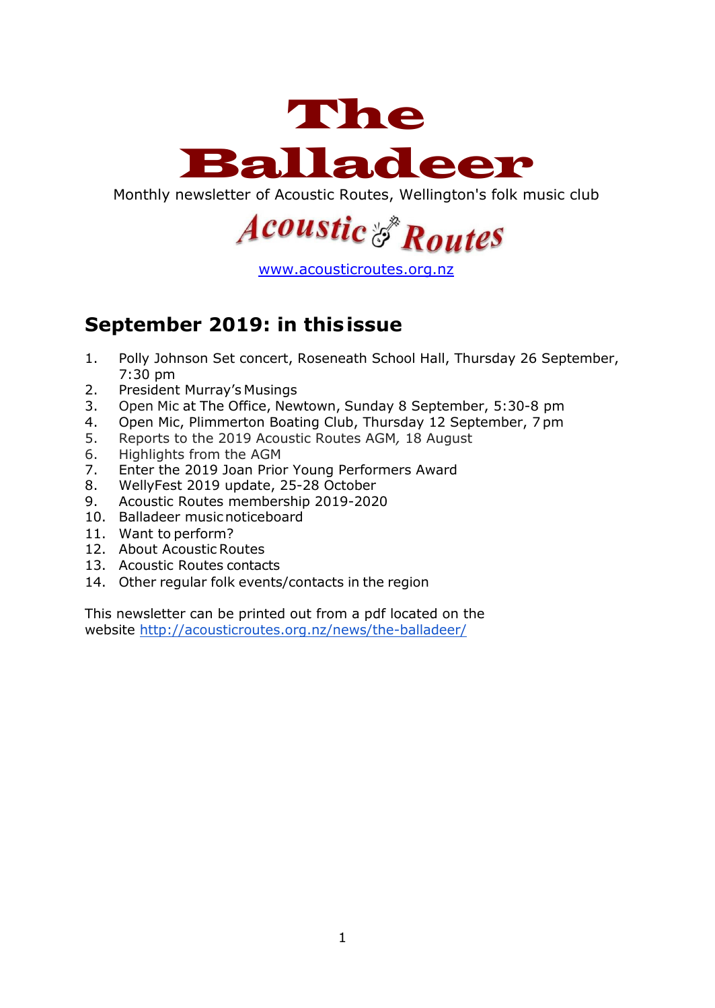

Monthly newsletter of Acoustic Routes, Wellington's folk music club



[www.acousticroutes.org.nz](http://www.acousticroutes.org.nz/)

# **September 2019: in thisissue**

- 1. Polly Johnson Set concert, Roseneath School Hall, Thursday 26 September, 7:30 pm
- 2. President Murray's Musings
- 3. Open Mic at The Office, Newtown, Sunday 8 September, 5:30-8 pm
- 4. Open Mic, Plimmerton Boating Club, Thursday 12 September, 7 pm
- 5. Reports to the 2019 Acoustic Routes AGM*,* 18 August
- 6. Highlights from the AGM
- 7. Enter the 2019 Joan Prior Young Performers Award
- 8. WellyFest 2019 update, 25-28 October
- 9. Acoustic Routes membership 2019-2020
- 10. Balladeer musicnoticeboard
- 11. Want to perform?
- 12. About Acoustic Routes
- 13. Acoustic Routes contacts
- 14. Other regular folk events/contacts in the region

This newsletter can be printed out from a pdf located on the website<http://acousticroutes.org.nz/news/the-balladeer/>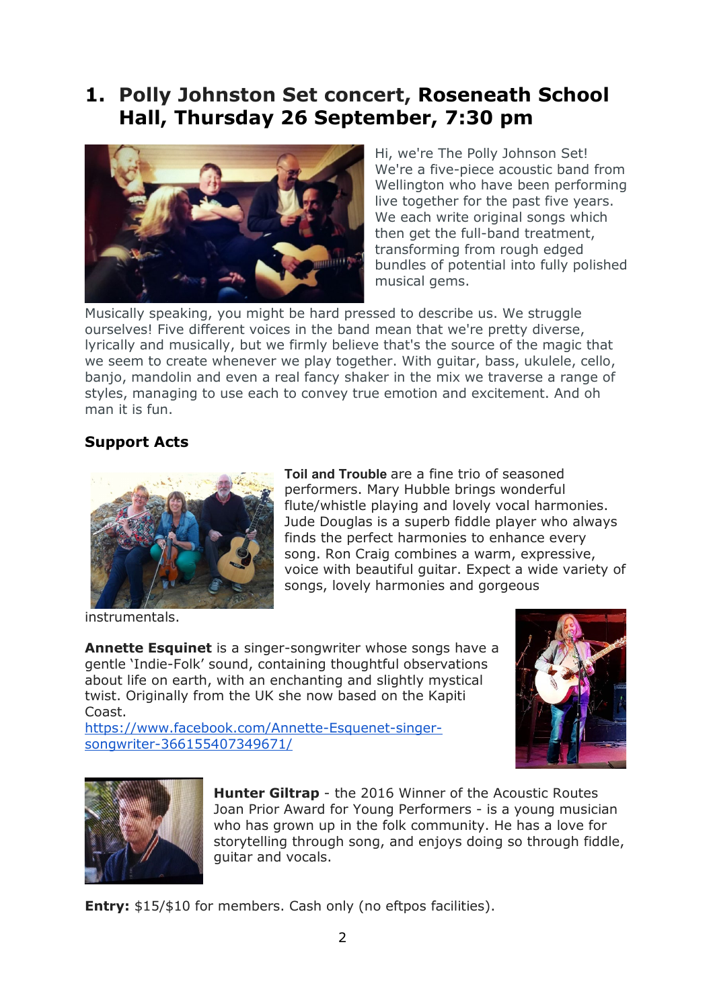## **1. Polly Johnston Set concert, Roseneath School Hall, Thursday 26 September, 7:30 pm**



Hi, we're The Polly Johnson Set! We're a five-piece acoustic band from Wellington who have been performing live together for the past five years. We each write original songs which then get the full-band treatment, transforming from rough edged bundles of potential into fully polished musical gems.

Musically speaking, you might be hard pressed to describe us. We struggle ourselves! Five different voices in the band mean that we're pretty diverse, lyrically and musically, but we firmly believe that's the source of the magic that we seem to create whenever we play together. With guitar, bass, ukulele, cello, banjo, mandolin and even a real fancy shaker in the mix we traverse a range of styles, managing to use each to convey true emotion and excitement. And oh man it is fun.

### **Support Acts**



**Toil and Trouble** are a fine trio of seasoned performers. Mary Hubble brings wonderful flute/whistle playing and lovely vocal harmonies. Jude Douglas is a superb fiddle player who always finds the perfect harmonies to enhance every song. Ron Craig combines a warm, expressive, voice with beautiful guitar. Expect a wide variety of songs, lovely harmonies and gorgeous

instrumentals.

**Annette Esquinet** is a singer-songwriter whose songs have a gentle 'Indie-Folk' sound, containing thoughtful observations about life on earth, with an enchanting and slightly mystical twist. Originally from the UK she now based on the Kapiti Coast.

https://www.facebook.com/Annette-Esquenet-singersongwriter-366155407349671/





**Hunter Giltrap** - the 2016 Winner of the Acoustic Routes Joan Prior Award for Young Performers - is a young musician who has grown up in the folk community. He has a love for storytelling through song, and enjoys doing so through fiddle, guitar and vocals.

**Entry:** \$15/\$10 for members. Cash only (no eftpos facilities).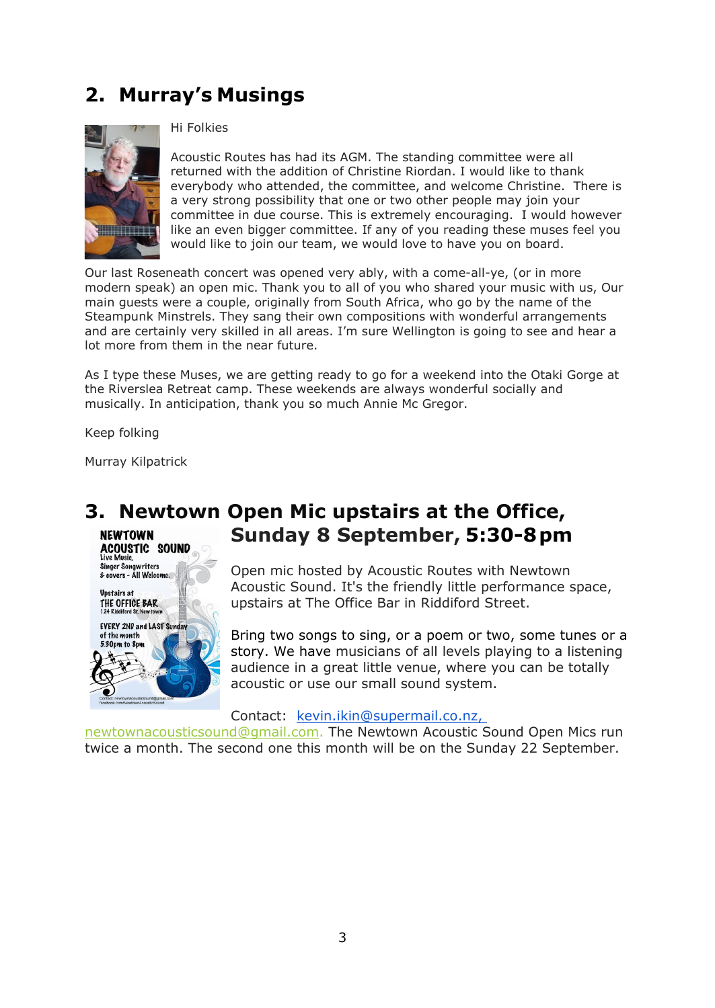# **2. Murray's Musings**



#### Hi Folkies

Acoustic Routes has had its AGM. The standing committee were all returned with the addition of Christine Riordan. I would like to thank everybody who attended, the committee, and welcome Christine. There is a very strong possibility that one or two other people may join your committee in due course. This is extremely encouraging. I would however like an even bigger committee. If any of you reading these muses feel you would like to join our team, we would love to have you on board.

Our last Roseneath concert was opened very ably, with a come-all-ye, (or in more modern speak) an open mic. Thank you to all of you who shared your music with us, Our main guests were a couple, originally from South Africa, who go by the name of the Steampunk Minstrels. They sang their own compositions with wonderful arrangements and are certainly very skilled in all areas. I'm sure Wellington is going to see and hear a lot more from them in the near future.

As I type these Muses, we are getting ready to go for a weekend into the Otaki Gorge at the Riverslea Retreat camp. These weekends are always wonderful socially and musically. In anticipation, thank you so much Annie Mc Gregor.

Keep folking

Murray Kilpatrick

**Singer Songwriters** & covers - All Welcom **Upstairs at** THE OFFICE BAR

of the month 5.30pm to 8pm

**EVERY 2ND and LAST Sunday** 

#### **3. Newtown Open Mic upstairs at the Office, Sunday 8 September, 5:30-8pm NEWTOWN ACOUSTIC SOUND**

Open mic hosted by Acoustic Routes with Newtown Acoustic Sound. It's the friendly little performance space, upstairs at The Office Bar in Riddiford Street.

Bring two songs to sing, or a poem or two, some tunes or a story. We have musicians of all levels playing to a listening audience in a great little venue, where you can be totally acoustic or use our small sound system.

#### Contact: [kevin.ikin@supermail.co.nz,](mailto:kevin.ikin@supermail.co.nz)

[newtownacousticsound@gmail.com.](mailto:newtownacousticsound@gmail.com) The Newtown Acoustic Sound Open Mics run twice a month. The second one this month will be on the Sunday 22 September.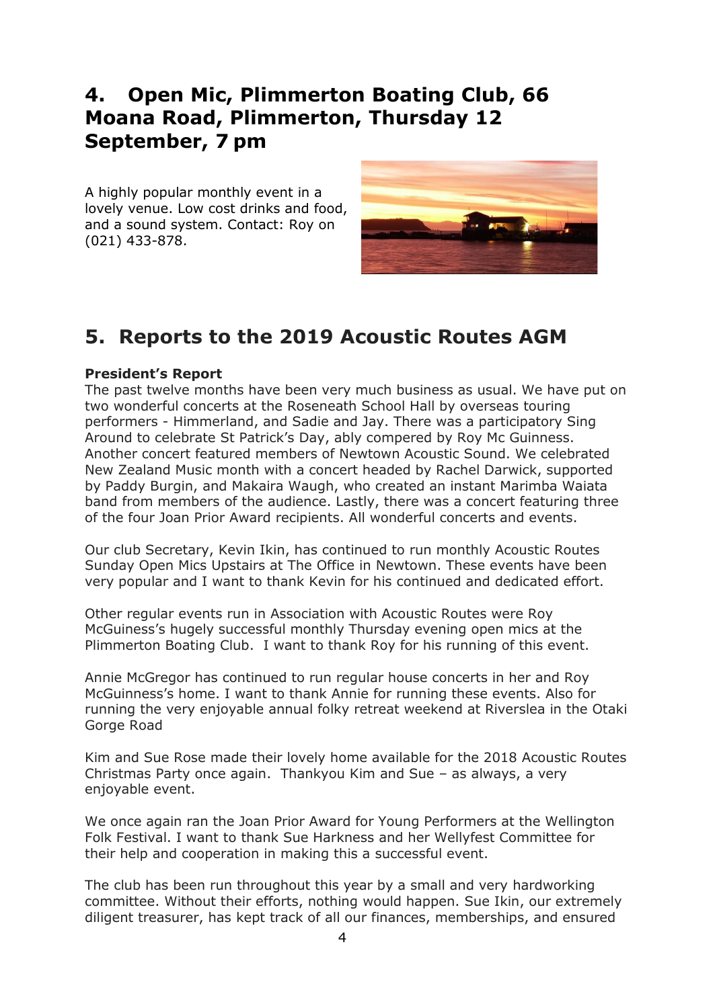## **4. Open Mic, Plimmerton Boating Club, 66 Moana Road, Plimmerton, Thursday 12 September, 7 pm**

A highly popular monthly event in a lovely venue. Low cost drinks and food, and a sound system. Contact: Roy on (021) 433-878.



# **5. Reports to the 2019 Acoustic Routes AGM**

#### **President's Report**

The past twelve months have been very much business as usual. We have put on two wonderful concerts at the Roseneath School Hall by overseas touring performers - Himmerland, and Sadie and Jay. There was a participatory Sing Around to celebrate St Patrick's Day, ably compered by Roy Mc Guinness. Another concert featured members of Newtown Acoustic Sound. We celebrated New Zealand Music month with a concert headed by Rachel Darwick, supported by Paddy Burgin, and Makaira Waugh, who created an instant Marimba Waiata band from members of the audience. Lastly, there was a concert featuring three of the four Joan Prior Award recipients. All wonderful concerts and events.

Our club Secretary, Kevin Ikin, has continued to run monthly Acoustic Routes Sunday Open Mics Upstairs at The Office in Newtown. These events have been very popular and I want to thank Kevin for his continued and dedicated effort.

Other regular events run in Association with Acoustic Routes were Roy McGuiness's hugely successful monthly Thursday evening open mics at the Plimmerton Boating Club. I want to thank Roy for his running of this event.

Annie McGregor has continued to run regular house concerts in her and Roy McGuinness's home. I want to thank Annie for running these events. Also for running the very enjoyable annual folky retreat weekend at Riverslea in the Otaki Gorge Road

Kim and Sue Rose made their lovely home available for the 2018 Acoustic Routes Christmas Party once again. Thankyou Kim and Sue – as always, a very enjoyable event.

We once again ran the Joan Prior Award for Young Performers at the Wellington Folk Festival. I want to thank Sue Harkness and her Wellyfest Committee for their help and cooperation in making this a successful event.

The club has been run throughout this year by a small and very hardworking committee. Without their efforts, nothing would happen. Sue Ikin, our extremely diligent treasurer, has kept track of all our finances, memberships, and ensured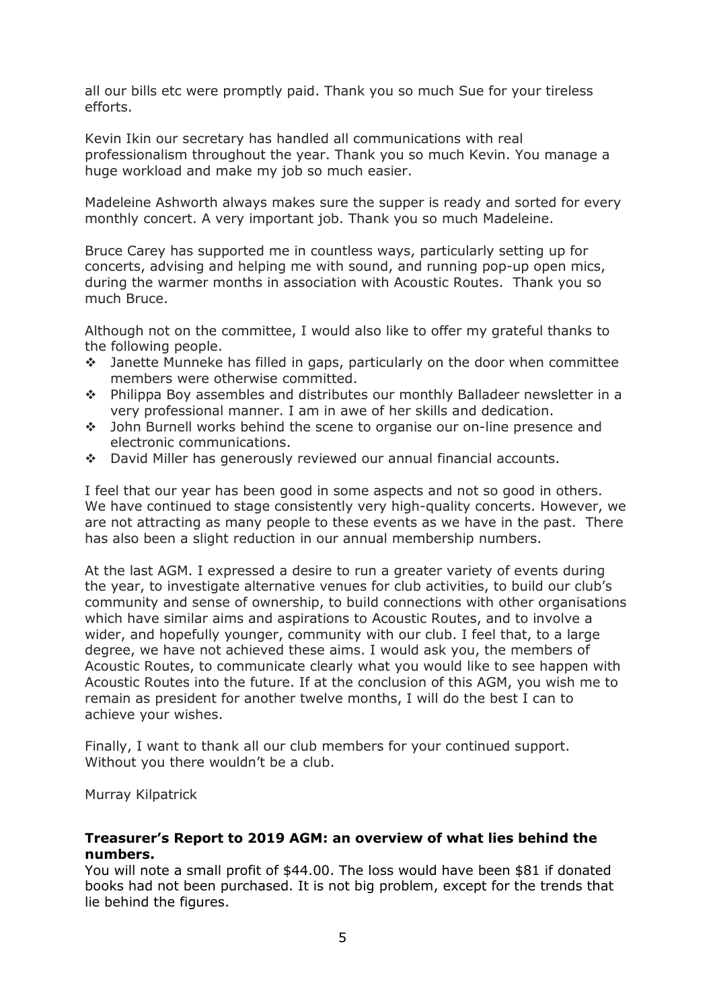all our bills etc were promptly paid. Thank you so much Sue for your tireless efforts.

Kevin Ikin our secretary has handled all communications with real professionalism throughout the year. Thank you so much Kevin. You manage a huge workload and make my job so much easier.

Madeleine Ashworth always makes sure the supper is ready and sorted for every monthly concert. A very important job. Thank you so much Madeleine.

Bruce Carey has supported me in countless ways, particularly setting up for concerts, advising and helping me with sound, and running pop-up open mics, during the warmer months in association with Acoustic Routes. Thank you so much Bruce.

Although not on the committee, I would also like to offer my grateful thanks to the following people.

- Janette Munneke has filled in gaps, particularly on the door when committee members were otherwise committed.
- Philippa Boy assembles and distributes our monthly Balladeer newsletter in a very professional manner. I am in awe of her skills and dedication.
- John Burnell works behind the scene to organise our on-line presence and electronic communications.
- David Miller has generously reviewed our annual financial accounts.

I feel that our year has been good in some aspects and not so good in others. We have continued to stage consistently very high-quality concerts. However, we are not attracting as many people to these events as we have in the past. There has also been a slight reduction in our annual membership numbers.

At the last AGM. I expressed a desire to run a greater variety of events during the year, to investigate alternative venues for club activities, to build our club's community and sense of ownership, to build connections with other organisations which have similar aims and aspirations to Acoustic Routes, and to involve a wider, and hopefully younger, community with our club. I feel that, to a large degree, we have not achieved these aims. I would ask you, the members of Acoustic Routes, to communicate clearly what you would like to see happen with Acoustic Routes into the future. If at the conclusion of this AGM, you wish me to remain as president for another twelve months, I will do the best I can to achieve your wishes.

Finally, I want to thank all our club members for your continued support. Without you there wouldn't be a club.

Murray Kilpatrick

#### **Treasurer's Report to 2019 AGM: an overview of what lies behind the numbers.**

You will note a small profit of \$44.00. The loss would have been \$81 if donated books had not been purchased. It is not big problem, except for the trends that lie behind the figures.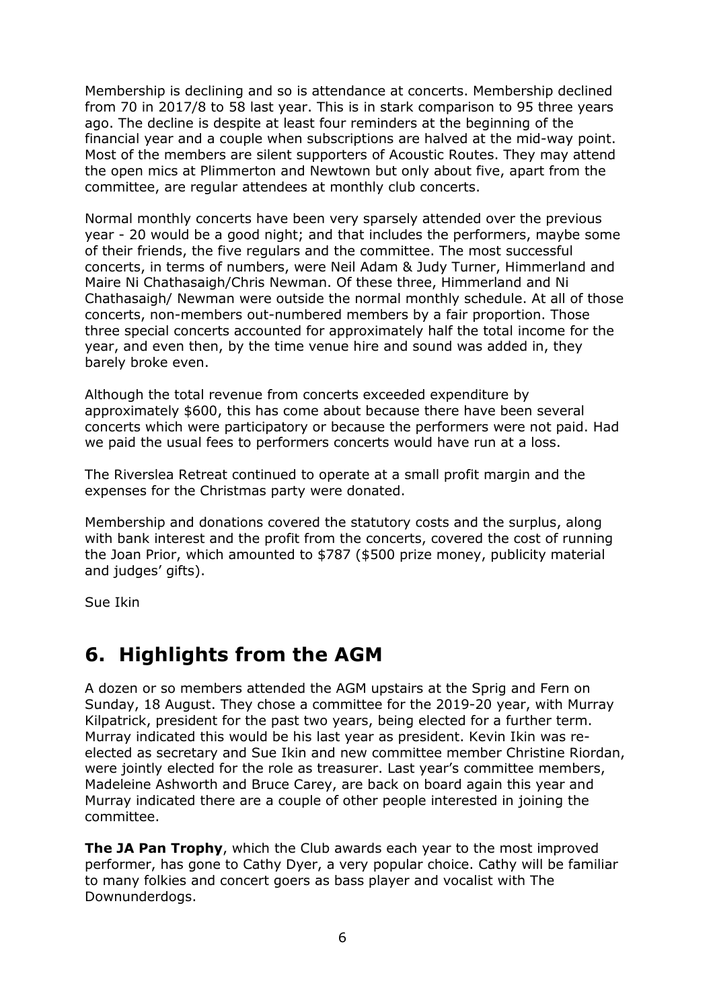Membership is declining and so is attendance at concerts. Membership declined from 70 in 2017/8 to 58 last year. This is in stark comparison to 95 three years ago. The decline is despite at least four reminders at the beginning of the financial year and a couple when subscriptions are halved at the mid-way point. Most of the members are silent supporters of Acoustic Routes. They may attend the open mics at Plimmerton and Newtown but only about five, apart from the committee, are regular attendees at monthly club concerts.

Normal monthly concerts have been very sparsely attended over the previous year - 20 would be a good night; and that includes the performers, maybe some of their friends, the five regulars and the committee. The most successful concerts, in terms of numbers, were Neil Adam & Judy Turner, Himmerland and Maire Ni Chathasaigh/Chris Newman. Of these three, Himmerland and Ni Chathasaigh/ Newman were outside the normal monthly schedule. At all of those concerts, non-members out-numbered members by a fair proportion. Those three special concerts accounted for approximately half the total income for the year, and even then, by the time venue hire and sound was added in, they barely broke even.

Although the total revenue from concerts exceeded expenditure by approximately \$600, this has come about because there have been several concerts which were participatory or because the performers were not paid. Had we paid the usual fees to performers concerts would have run at a loss.

The Riverslea Retreat continued to operate at a small profit margin and the expenses for the Christmas party were donated.

Membership and donations covered the statutory costs and the surplus, along with bank interest and the profit from the concerts, covered the cost of running the Joan Prior, which amounted to \$787 (\$500 prize money, publicity material and judges' gifts).

Sue Ikin

## **6. Highlights from the AGM**

A dozen or so members attended the AGM upstairs at the Sprig and Fern on Sunday, 18 August. They chose a committee for the 2019-20 year, with Murray Kilpatrick, president for the past two years, being elected for a further term. Murray indicated this would be his last year as president. Kevin Ikin was reelected as secretary and Sue Ikin and new committee member Christine Riordan, were jointly elected for the role as treasurer. Last year's committee members, Madeleine Ashworth and Bruce Carey, are back on board again this year and Murray indicated there are a couple of other people interested in joining the committee.

**The JA Pan Trophy**, which the Club awards each year to the most improved performer, has gone to Cathy Dyer, a very popular choice. Cathy will be familiar to many folkies and concert goers as bass player and vocalist with The Downunderdogs.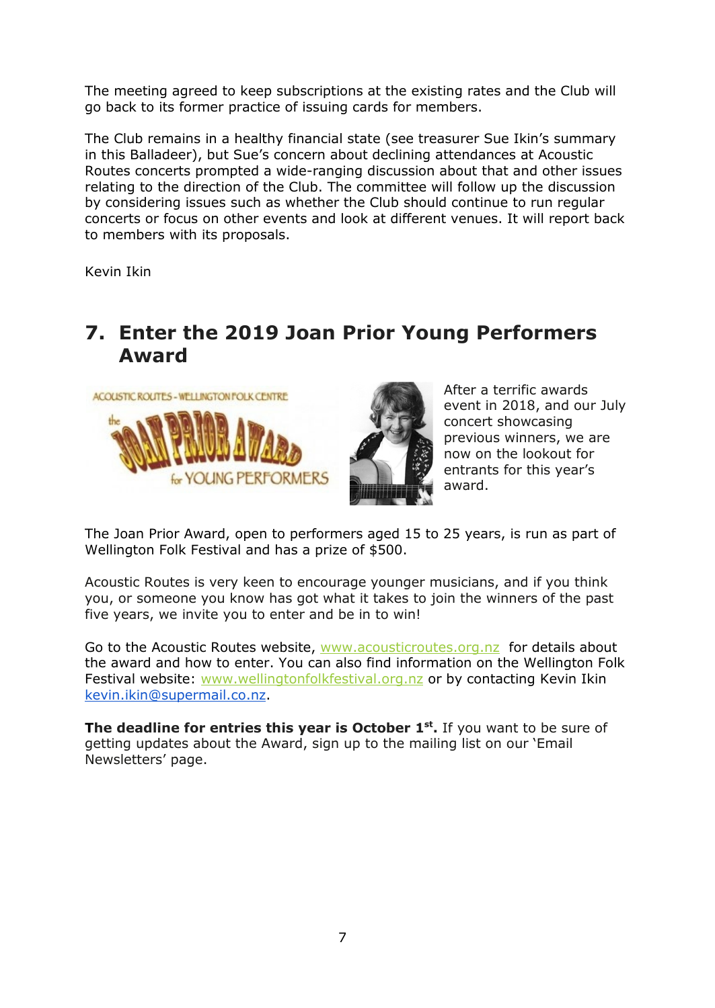The meeting agreed to keep subscriptions at the existing rates and the Club will go back to its former practice of issuing cards for members.

The Club remains in a healthy financial state (see treasurer Sue Ikin's summary in this Balladeer), but Sue's concern about declining attendances at Acoustic Routes concerts prompted a wide-ranging discussion about that and other issues relating to the direction of the Club. The committee will follow up the discussion by considering issues such as whether the Club should continue to run regular concerts or focus on other events and look at different venues. It will report back to members with its proposals.

Kevin Ikin

### **7. Enter the 2019 Joan Prior Young Performers Award**





After a terrific awards event in 2018, and our July concert showcasing previous winners, we are now on the lookout for entrants for this year's award.

The Joan Prior Award, open to performers aged 15 to 25 years, is run as part of Wellington Folk Festival and has a prize of \$500.

Acoustic Routes is very keen to encourage younger musicians, and if you think you, or someone you know has got what it takes to join the winners of the past five years, we invite you to enter and be in to win!

Go to the Acoustic Routes website, [www.acousticroutes.org.nz](http://www.acousticroutes.org.nz/) for details about the award and how to enter. You can also find information on the Wellington Folk Festival website: [www.wellingtonfolkfestival.org.nz](http://www.wellingtonfolkfestival.org.nz/) or by contacting Kevin Ikin [kevin.ikin@supermail.co.nz.](mailto:kevin.ikin@supermail.co.nz)

**The deadline for entries this year is October 1<sup>st</sup>. If you want to be sure of** getting updates about the Award, sign up to the mailing list on our 'Email Newsletters' page.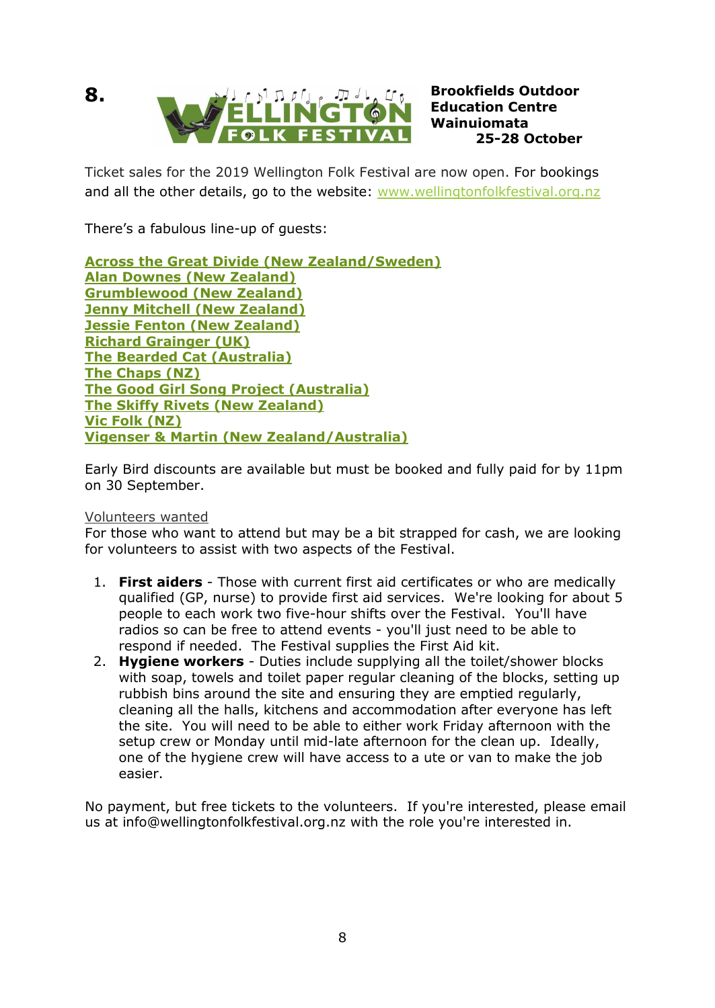



**Education Centre Wainuiomata 25-28 October**

Ticket sales for the 2019 Wellington Folk Festival are now open. For bookings and all the other details, go to the website: [www.wellingtonfolkfestival.org.nz](http://www.wellingtonfolkfestival.org.nz/)

There's a fabulous line-up of guests:

**[Across the Great Divide \(New Zealand/Sweden\)](https://wellingtonfolkfestival.wordpress.com/2019-festival/across-the-great-divide/) [Alan Downes \(New Zealand\)](https://wellingtonfolkfestival.wordpress.com/2019-festival/alan-downes/) [Grumblewood \(New Zealand\)](https://wellingtonfolkfestival.wordpress.com/2019-festival/grumblewood/) [Jenny Mitchell \(New Zealand\)](https://wellingtonfolkfestival.wordpress.com/2019-festival/jenny-mitchell/) [Jessie Fenton \(New Zealand\)](https://wellingtonfolkfestival.wordpress.com/2019-festival/jessie-fenton/) [Richard Grainger \(UK\)](https://wellingtonfolkfestival.wordpress.com/2019-festival/richard-grainger/) [The Bearded Cat \(Australia\)](https://wellingtonfolkfestival.wordpress.com/2019-festival/the-bearded-cat/) [The Chaps \(NZ\)](https://wellingtonfolkfestival.wordpress.com/2019-festival/the-chaps/) [The Good Girl Song Project \(Australia\)](https://wellingtonfolkfestival.wordpress.com/2019-festival/the-good-girl-song-project/) [The Skiffy Rivets \(New Zealand\)](https://wellingtonfolkfestival.wordpress.com/2019-festival/the-skiffy-rivets/) [Vic Folk \(NZ\)](https://wellingtonfolkfestival.wordpress.com/2019-festival/vic-folk/) [Vigenser & Martin \(New Zealand/Australia\)](https://wellingtonfolkfestival.wordpress.com/2019-festival/vigenser-martin/)**

Early Bird discounts are available but must be booked and fully paid for by 11pm on 30 September.

### Volunteers wanted

For those who want to attend but may be a bit strapped for cash, we are looking for volunteers to assist with two aspects of the Festival.

- 1. **First aiders** Those with current first aid certificates or who are medically qualified (GP, nurse) to provide first aid services. We're looking for about 5 people to each work two five-hour shifts over the Festival. You'll have radios so can be free to attend events - you'll just need to be able to respond if needed. The Festival supplies the First Aid kit.
- 2. **Hygiene workers** Duties include supplying all the toilet/shower blocks with soap, towels and toilet paper regular cleaning of the blocks, setting up rubbish bins around the site and ensuring they are emptied regularly, cleaning all the halls, kitchens and accommodation after everyone has left the site. You will need to be able to either work Friday afternoon with the setup crew or Monday until mid-late afternoon for the clean up. Ideally, one of the hygiene crew will have access to a ute or van to make the job easier.

No payment, but free tickets to the volunteers. If you're interested, please email us at info@wellingtonfolkfestival.org.nz with the role you're interested in.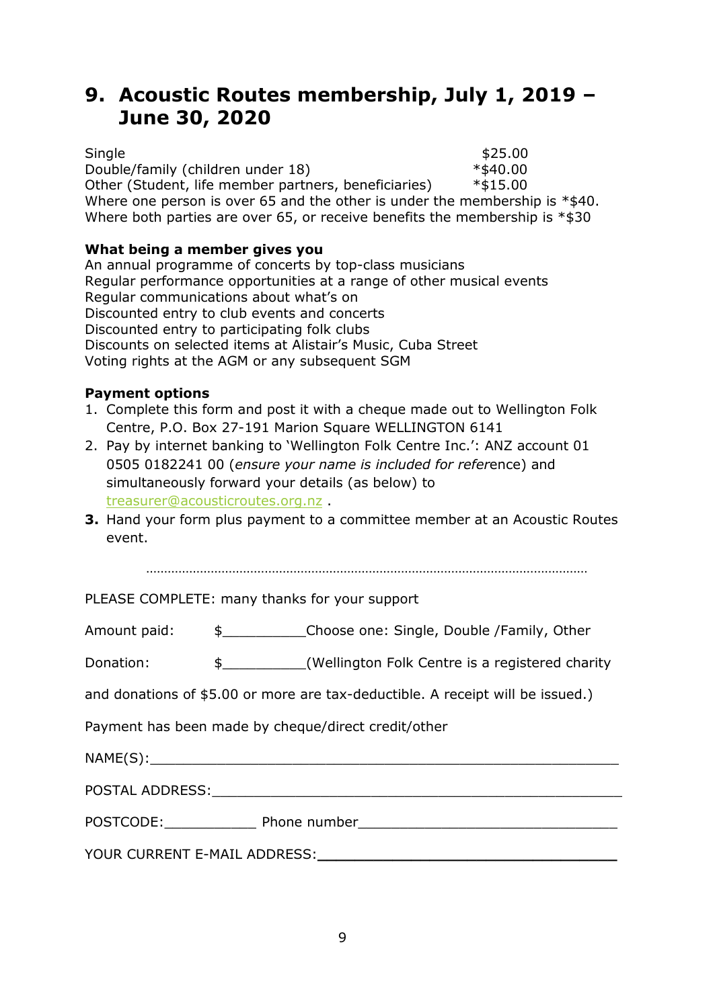## **9. Acoustic Routes membership, July 1, 2019 – June 30, 2020**

 $\textsf{Single} \quad \texttt{\$25.00}$ Double/family (children under 18) \*\$40.00 Other (Student, life member partners, beneficiaries) \*\$15.00 Where one person is over 65 and the other is under the membership is  $*$ \$40. Where both parties are over 65, or receive benefits the membership is  $*$ \$30

### **What being a member gives you**

An annual programme of concerts by top-class musicians Regular performance opportunities at a range of other musical events Regular communications about what's on Discounted entry to club events and concerts Discounted entry to participating folk clubs Discounts on selected items at Alistair's Music, Cuba Street Voting rights at the AGM or any subsequent SGM

### **Payment options**

- 1. Complete this form and post it with a cheque made out to Wellington Folk Centre, P.O. Box 27-191 Marion Square WELLINGTON 6141
- 2. Pay by internet banking to 'Wellington Folk Centre Inc.': ANZ account 01 0505 0182241 00 (*ensure your name is included for refer*ence) and simultaneously forward your details (as below) to [treasurer@acousticroutes.org.nz](mailto:treasurer@acousticroutes.org.nz) .
- **3.** Hand your form plus payment to a committee member at an Acoustic Routes event.

……………………………………………………………………………………………………………

PLEASE COMPLETE: many thanks for your support

Amount paid: \$\_\_\_\_\_\_\_\_\_\_Choose one: Single, Double /Family, Other

Donation:  $\frac{1}{2}$   $\frac{1}{2}$  (Wellington Folk Centre is a registered charity

and donations of \$5.00 or more are tax-deductible. A receipt will be issued.)

Payment has been made by cheque/direct credit/other

| NAME(S):                     |              |
|------------------------------|--------------|
| POSTAL ADDRESS:              |              |
| POSTCODE:                    | Phone number |
| YOUR CURRENT E-MAIL ADDRESS: |              |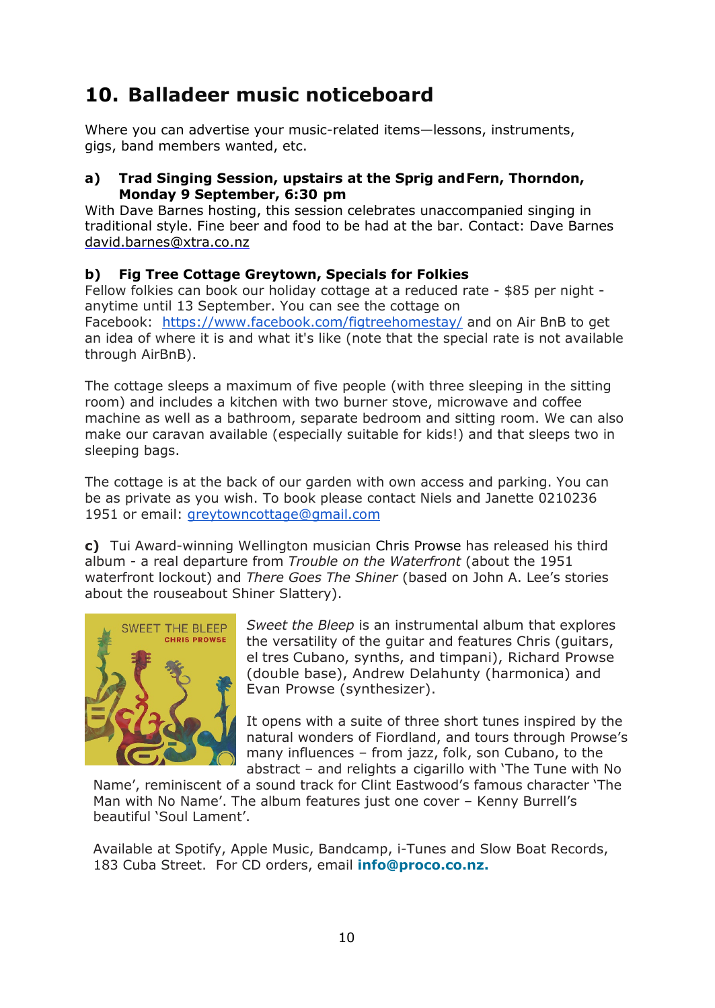# **10. Balladeer music noticeboard**

Where you can advertise your music-related items—lessons, instruments, gigs, band members wanted, etc.

### **a) Trad Singing Session, upstairs at the Sprig andFern, Thorndon, Monday 9 September, 6:30 pm**

With Dave Barnes hosting, this session celebrates unaccompanied singing in traditional style. Fine beer and food to be had at the bar. Contact: Dave Barnes [david.barnes@xtra.co.nz](mailto:david.barnes@xtra.co.nz)

### **b) Fig Tree Cottage Greytown, Specials for Folkies**

Fellow folkies can book our holiday cottage at a reduced rate - \$85 per night anytime until 13 September. You can see the cottage on Facebook: <https://www.facebook.com/figtreehomestay/> and on Air BnB to get an idea of where it is and what it's like (note that the special rate is not available through AirBnB).

The cottage sleeps a maximum of five people (with three sleeping in the sitting room) and includes a kitchen with two burner stove, microwave and coffee machine as well as a bathroom, separate bedroom and sitting room. We can also make our caravan available (especially suitable for kids!) and that sleeps two in sleeping bags.

The cottage is at the back of our garden with own access and parking. You can be as private as you wish. To book please contact Niels and Janette 0210236 1951 or email: [greytowncottage@gmail.com](mailto:greytowncottage@gmail.com)

**c)** Tui Award-winning Wellington musician Chris Prowse has released his third album - a real departure from *Trouble on the Waterfront* (about the 1951 waterfront lockout) and *There Goes The Shiner* (based on John A. Lee's stories about the rouseabout Shiner Slattery).



*Sweet the Bleep* is an instrumental album that explores the versatility of the guitar and features Chris (guitars, el tres Cubano, synths, and timpani), Richard Prowse (double base), Andrew Delahunty (harmonica) and Evan Prowse (synthesizer).

It opens with a suite of three short tunes inspired by the natural wonders of Fiordland, and tours through Prowse's many influences – from jazz, folk, son Cubano, to the abstract – and relights a cigarillo with 'The Tune with No

Name', reminiscent of a sound track for Clint Eastwood's famous character 'The Man with No Name'. The album features just one cover – Kenny Burrell's beautiful 'Soul Lament'.

Available at Spotify, Apple Music, Bandcamp, i-Tunes and Slow Boat Records, 183 Cuba Street. For CD orders, email **info@proco.co.nz.**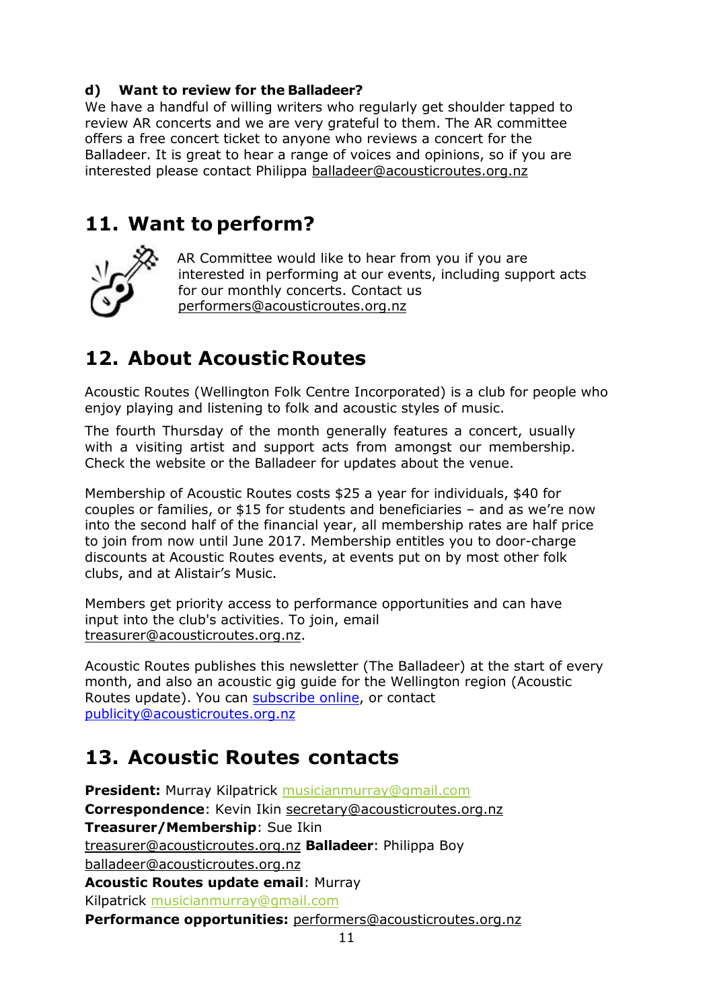### **d) Want to review for the Balladeer?**

We have a handful of willing writers who regularly get shoulder tapped to review AR concerts and we are very grateful to them. The AR committee offers a free concert ticket to anyone who reviews a concert for the Balladeer. It is great to hear a range of voices and opinions, so if you are interested please contact Philippa [balladeer@acousticroutes.org.nz](mailto:balladeer@acousticroutes.org.nz)

### **11. Want to perform?**



AR Committee would like to hear from you if you are interested in performing at our events, including support acts for our monthly concerts. Contact us [performers@acousticroutes.org.nz](mailto:performers@acousticroutes.org.nz)

# **12. About AcousticRoutes**

Acoustic Routes (Wellington Folk Centre Incorporated) is a club for people who enjoy playing and listening to folk and acoustic styles of music.

The fourth Thursday of the month generally features a concert, usually with a visiting artist and support acts from amongst our membership. Check the website or the Balladeer for updates about the venue.

Membership of Acoustic Routes costs \$25 a year for individuals, \$40 for couples or families, or \$15 for students and beneficiaries – and as we're now into the second half of the financial year, all membership rates are half price to join from now until June 2017. Membership entitles you to door-charge discounts at Acoustic Routes events, at events put on by most other folk clubs, and at Alistair's Music.

Members get priority access to performance opportunities and can have input into the club's activities. To join, email [treasurer@acousticroutes.org.nz.](mailto:treasurer@acousticroutes.org.nz)

Acoustic Routes publishes this newsletter (The Balladeer) at the start of every month, and also an acoustic gig guide for the Wellington region (Acoustic Routes update). You can [subscribe online,](http://eepurl.com/mP90b) or contact [publicity@acousticroutes.org.nz](mailto:publicity@acousticroutes.org.nz)

# **13. Acoustic Routes contacts**

**President:** Murray Kilpatrick [musicianmurray@gmail.com](mailto:musicianmurray@gmail.com)  **Correspondence**: Kevin Ikin [secretary@acousticroutes.org.nz](mailto:secretary@acousticroutes.org.nz) **Treasurer/Membership**: Sue Ikin [treasurer@acousticroutes.org.nz](mailto:treasurer@acousticroutes.org.nz) **Balladeer**: Philippa Boy [balladeer@acousticroutes.org.nz](mailto:balladeer@acousticroutes.org.nz) **Acoustic Routes update email**: Murray Kilpatrick [musicianmurray@gmail.com](mailto:musicianmurray@gmail.com)  **Performance opportunities:** [performers@acousticroutes.org.nz](mailto:performers@acousticroutes.org.nz)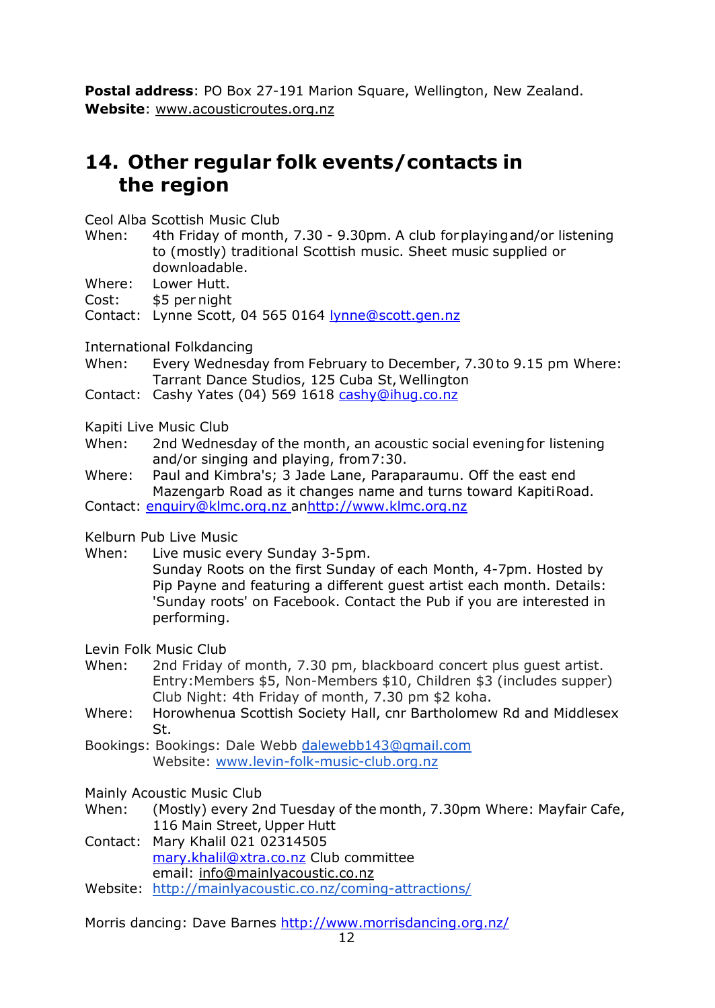**Postal address**: PO Box 27-191 Marion Square, Wellington, New Zealand. **Website**: [www.acousticroutes.org.nz](http://www.acousticroutes.org.nz/)

## **14. Other regular folk events/contacts in the region**

Ceol Alba Scottish Music Club

- When: 4th Friday of month, 7.30 9.30pm. A club forplayingand/or listening to (mostly) traditional Scottish music. Sheet music supplied or downloadable.
- Where: Lower Hutt.
- Cost: \$5 per night

Contact: Lynne Scott, 04 565 0164 [lynne@scott.gen.nz](mailto:lynne@scott.gen.nz)

International Folkdancing

- When: Every Wednesday from February to December, 7.30to 9.15 pm Where: Tarrant Dance Studios, 125 Cuba St, Wellington
- Contact: Cashy Yates (04) 569 1618 [cashy@ihug.co.nz](mailto:cashy@ihug.co.nz)

Kapiti Live Music Club

- When: 2nd Wednesday of the month, an acoustic social evening for listening and/or singing and playing, from7:30.
- Where: Paul and Kimbra's; 3 Jade Lane, Paraparaumu. Off the east end Mazengarb Road as it changes name and turns toward KapitiRoad.

Contact: [enquiry@klmc.org.nz a](mailto:enquiry@klmc.org.nz)[nhttp://www.klmc.org.nz](http://www.klmc.org.nz/)

Kelburn Pub Live Music

- When: Live music every Sunday 3-5pm.
	- Sunday Roots on the first Sunday of each Month, 4-7pm. Hosted by Pip Payne and featuring a different guest artist each month. Details: 'Sunday roots' on Facebook. Contact the Pub if you are interested in performing.

Levin Folk Music Club

- When: 2nd Friday of month, 7.30 pm, blackboard concert plus guest artist. Entry:Members \$5, Non-Members \$10, Children \$3 (includes supper) Club Night: 4th Friday of month, 7.30 pm \$2 koha.
- Where: Horowhenua Scottish Society Hall, cnr Bartholomew Rd and Middlesex St.
- Bookings: Bookings: Dale Webb [dalewebb143@gmail.com](mailto:dalewebb143@gmail.com) Website: [www.levin-folk-music-club.org.nz](http://www.levin-folk-music-club.org.nz/)
- Mainly Acoustic Music Club
- When: (Mostly) every 2nd Tuesday of the month, 7.30pm Where: Mayfair Cafe, 116 Main Street, Upper Hutt
- Contact: Mary Khalil 021 02314505 [mary.khalil@xtra.co.nz](mailto:mary.khalil@xtra.co.nz) Club committee email: [info@mainlyacoustic.co.nz](mailto:info@mainlyacoustic.co.nz)
- Website: <http://mainlyacoustic.co.nz/coming-attractions/>

Morris dancing: Dave Barnes<http://www.morrisdancing.org.nz/>